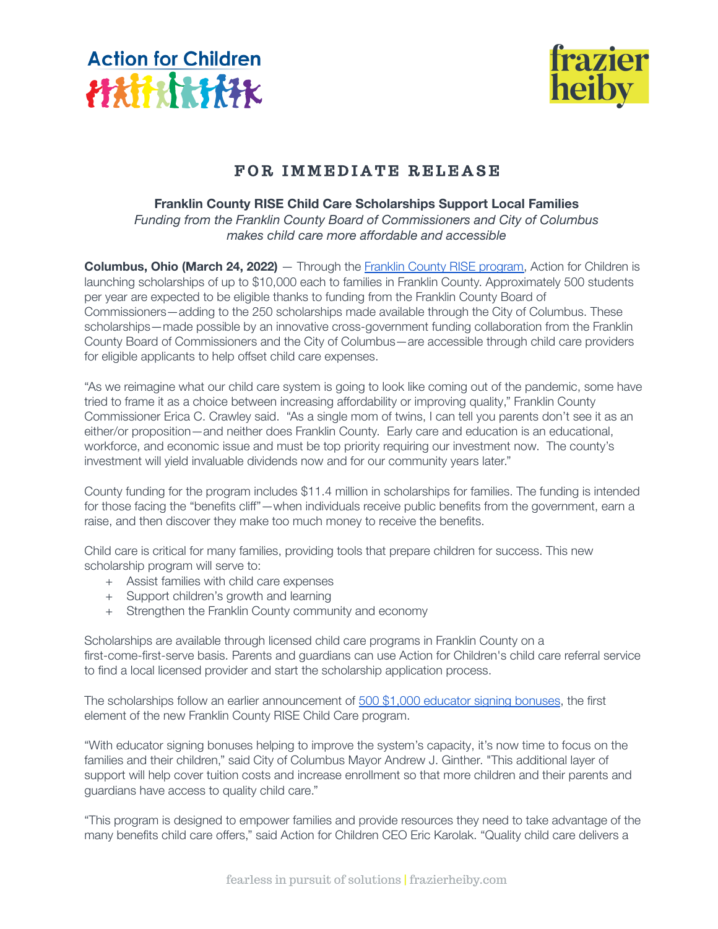



# FOR IMMEDIATE RELEASE

## **Franklin County RISE Child Care Scholarships Support Local Families**

*Funding from the Franklin County Board of Commissioners and City of Columbus makes child care more affordable and accessible*

**Columbus, Ohio (March 24, 2022)** — Through the Franklin [County RISE program,](https://www.actionforchildren.org/rise/) Action for Children is launching scholarships of up to \$10,000 each to families in Franklin County. Approximately 500 students per year are expected to be eligible thanks to funding from the Franklin County Board of Commissioners—adding to the 250 scholarships made available through the City of Columbus. These scholarships—made possible by an innovative cross-government funding collaboration from the Franklin County Board of Commissioners and the City of Columbus—are accessible through child care providers for eligible applicants to help offset child care expenses.

"As we reimagine what our child care system is going to look like coming out of the pandemic, some have tried to frame it as a choice between increasing affordability or improving quality," Franklin County Commissioner Erica C. Crawley said. "As a single mom of twins, I can tell you parents don't see it as an either/or proposition—and neither does Franklin County. Early care and education is an educational, workforce, and economic issue and must be top priority requiring our investment now. The county's investment will yield invaluable dividends now and for our community years later."

County funding for the program includes \$11.4 million in scholarships for families. The funding is intended for those facing the "benefits cliff"—when individuals receive public benefits from the government, earn a raise, and then discover they make too much money to receive the benefits.

Child care is critical for many families, providing tools that prepare children for success. This new scholarship program will serve to:

- + Assist families with child care expenses
- + Support children's growth and learning
- + Strengthen the Franklin County community and economy

Scholarships are available through licensed child care programs in Franklin County on a first-come-first-serve basis. Parents and guardians can use Action for Children's child care referral service to find a local licensed provider and start the scholarship application process.

The scholarships follow an earlier announcement of [500 \\$1,000 educator signing bonuses](https://www.actionforchildren.org/signing-bonus-program-educators/), the first element of the new Franklin County RISE Child Care program.

"With educator signing bonuses helping to improve the system's capacity, it's now time to focus on the families and their children," said City of Columbus Mayor Andrew J. Ginther. "This additional layer of support will help cover tuition costs and increase enrollment so that more children and their parents and guardians have access to quality child care."

"This program is designed to empower families and provide resources they need to take advantage of the many benefits child care offers," said Action for Children CEO Eric Karolak. "Quality child care delivers a